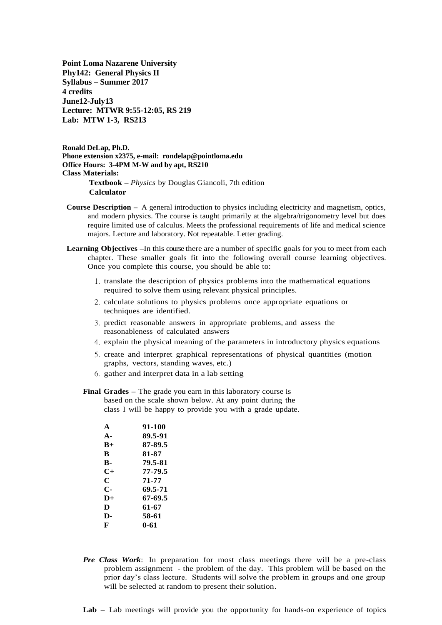**Point Loma Nazarene University Phy142: General Physics II Syllabus – Summer 2017 4 credits June12-July13 Lecture: MTWR 9:55-12:05, RS 219 Lab: MTW 1-3, RS213**

**Ronald DeLap, Ph.D. Phone extension x2375, e-mail: rondelap@pointloma.edu Office Hours: 3-4PM M-W and by apt, RS210 Class Materials: Textbook –** *Physics* by Douglas Giancoli, 7th edition

- **Calculator**
- **Course Description –** A general introduction to physics including electricity and magnetism, optics, and modern physics. The course is taught primarily at the algebra/trigonometry level but does require limited use of calculus. Meets the professional requirements of life and medical science majors. Lecture and laboratory. Not repeatable. Letter grading.
- **Learning Objectives –**In this course there are a number of specific goals for you to meet from each chapter. These smaller goals fit into the following overall course learning objectives. Once you complete this course, you should be able to:
	- 1. translate the description of physics problems into the mathematical equations required to solve them using relevant physical principles.
	- 2. calculate solutions to physics problems once appropriate equations or techniques are identified.
	- 3. predict reasonable answers in appropriate problems, and assess the reasonableness of calculated answers
	- 4. explain the physical meaning of the parameters in introductory physics equations
	- 5. create and interpret graphical representations of physical quantities (motion graphs, vectors, standing waves, etc.)
	- 6. gather and interpret data in a lab setting
	- **Final Grades –** The grade you earn in this laboratory course is based on the scale shown below. At any point during the class I will be happy to provide you with a grade update.

| $\mathbf{A}$   | 91-100  |
|----------------|---------|
| $\mathbf{A}$ - | 89.5-91 |
| $R+$           | 87-89.5 |
| R              | 81-87   |
| B-             | 79.5-81 |
| $C_{\pm}$      | 77-79.5 |
| C              | 71-77   |
| С-             | 69.5-71 |
| $D+$           | 67-69.5 |
| D              | 61-67   |
| D-             | 58-61   |
| F              | 0-61    |

- *Pre Class Work*: In preparation for most class meetings there will be a pre-class problem assignment - the problem of the day. This problem will be based on the prior day's class lecture. Students will solve the problem in groups and one group will be selected at random to present their solution.
- **Lab –** Lab meetings will provide you the opportunity for hands-on experience of topics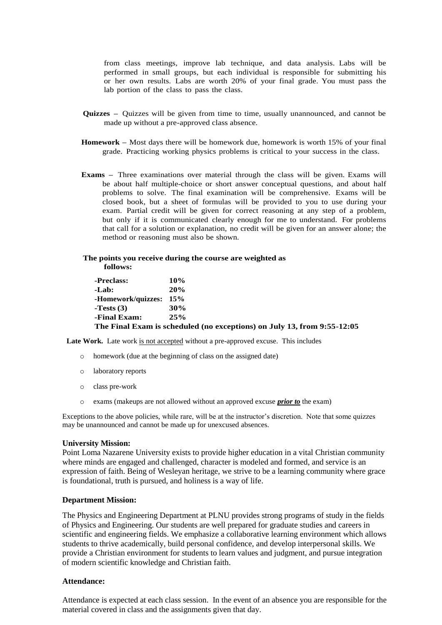from class meetings, improve lab technique, and data analysis. Labs will be performed in small groups, but each individual is responsible for submitting his or her own results. Labs are worth 20% of your final grade. You must pass the lab portion of the class to pass the class.

- **Quizzes –** Quizzes will be given from time to time, usually unannounced, and cannot be made up without a pre-approved class absence.
- **Homework –** Most days there will be homework due, homework is worth 15% of your final grade. Practicing working physics problems is critical to your success in the class.
- **Exams –** Three examinations over material through the class will be given. Exams will be about half multiple-choice or short answer conceptual questions, and about half problems to solve. The final examination will be comprehensive. Exams will be closed book, but a sheet of formulas will be provided to you to use during your exam. Partial credit will be given for correct reasoning at any step of a problem, but only if it is communicated clearly enough for me to understand. For problems that call for a solution or explanation, no credit will be given for an answer alone; the method or reasoning must also be shown.

#### **The points you receive during the course are weighted as follows:**

| -Preclass:         | 10% |
|--------------------|-----|
| -Lab:              | 20% |
| -Homework/quizzes: | 15% |
| -Tests $(3)$       | 30% |
| -Final Exam:       | 25% |
| <b></b>            |     |

**The Final Exam is scheduled (no exceptions) on July 13, from 9:55-12:05**

Late Work. Late work is not accepted without a pre-approved excuse. This includes

- homework (due at the beginning of class on the assigned date)
- o laboratory reports
- o class pre-work
- o exams (makeups are not allowed without an approved excuse *prior to* the exam)

Exceptions to the above policies, while rare, will be at the instructor's discretion. Note that some quizzes may be unannounced and cannot be made up for unexcused absences.

#### **University Mission:**

Point Loma Nazarene University exists to provide higher education in a vital Christian community where minds are engaged and challenged, character is modeled and formed, and service is an expression of faith. Being of Wesleyan heritage, we strive to be a learning community where grace is foundational, truth is pursued, and holiness is a way of life.

#### **Department Mission:**

The Physics and Engineering Department at PLNU provides strong programs of study in the fields of Physics and Engineering. Our students are well prepared for graduate studies and careers in scientific and engineering fields. We emphasize a collaborative learning environment which allows students to thrive academically, build personal confidence, and develop interpersonal skills. We provide a Christian environment for students to learn values and judgment, and pursue integration of modern scientific knowledge and Christian faith.

#### **Attendance:**

Attendance is expected at each class session. In the event of an absence you are responsible for the material covered in class and the assignments given that day.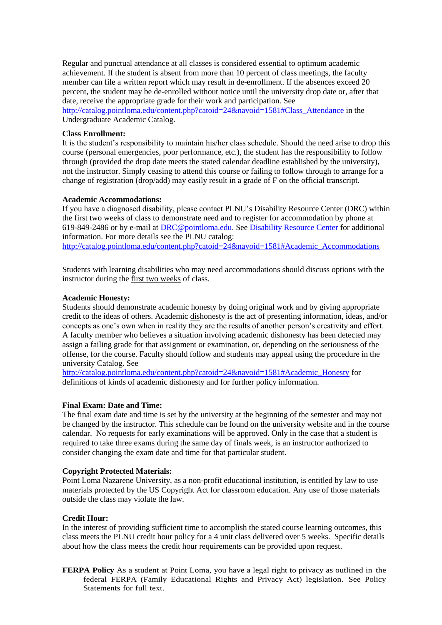Regular and punctual attendance at all classes is considered essential to optimum academic achievement. If the student is absent from more than 10 percent of class meetings, the faculty member can file a written report which may result in de-enrollment. If the absences exceed 20 percent, the student may be de-enrolled without notice until the university drop date or, after that date, receive the appropriate grade for their work and participation. See [http://catalog.pointloma.edu/content.php?catoid=24&navoid=1581#Class\\_Attendance](http://catalog.pointloma.edu/content.php?catoid=24&navoid=1581#Class_Attendance) in the Undergraduate Academic Catalog.

# **Class Enrollment:**

It is the student's responsibility to maintain his/her class schedule. Should the need arise to drop this course (personal emergencies, poor performance, etc.), the student has the responsibility to follow through (provided the drop date meets the stated calendar deadline established by the university), not the instructor. Simply ceasing to attend this course or failing to follow through to arrange for a change of registration (drop/add) may easily result in a grade of F on the official transcript.

## **Academic Accommodations:**

If you have a diagnosed disability, please contact PLNU's Disability Resource Center (DRC) within the first two weeks of class to demonstrate need and to register for accommodation by phone at 619-849-2486 or by e-mail at [DRC@pointloma.edu.](mailto:DRC@pointloma.edu) See [Disability Resource Center](http://www.pointloma.edu/experience/offices/administrative-offices/academic-advising-office/disability-resource-center) for additional information. For more details see the PLNU catalog: [http://catalog.pointloma.edu/content.php?catoid=24&navoid=1581#Academic\\_Accommodations](http://catalog.pointloma.edu/content.php?catoid=24&navoid=1581#Academic_Accommodations) 

Students with learning disabilities who may need accommodations should discuss options with the instructor during the first two weeks of class.

# **Academic Honesty:**

Students should demonstrate academic honesty by doing original work and by giving appropriate credit to the ideas of others. Academic dishonesty is the act of presenting information, ideas, and/or concepts as one's own when in reality they are the results of another person's creativity and effort. A faculty member who believes a situation involving academic dishonesty has been detected may assign a failing grade for that assignment or examination, or, depending on the seriousness of the offense, for the course. Faculty should follow and students may appeal using the procedure in the university Catalog. See

[http://catalog.pointloma.edu/content.php?catoid=24&navoid=1581#Academic\\_Honesty](http://catalog.pointloma.edu/content.php?catoid=24&navoid=1581#Academic_Honesty) for definitions of kinds of academic dishonesty and for further policy information.

## **Final Exam: Date and Time:**

The final exam date and time is set by the university at the beginning of the semester and may not be changed by the instructor. This schedule can be found on the university website and in the course calendar. No requests for early examinations will be approved. Only in the case that a student is required to take three exams during the same day of finals week, is an instructor authorized to consider changing the exam date and time for that particular student.

# **Copyright Protected Materials:**

Point Loma Nazarene University, as a non-profit educational institution, is entitled by law to use materials protected by the US Copyright Act for classroom education. Any use of those materials outside the class may violate the law.

# **Credit Hour:**

In the interest of providing sufficient time to accomplish the stated course learning outcomes, this class meets the PLNU credit hour policy for a 4 unit class delivered over 5 weeks. Specific details about how the class meets the credit hour requirements can be provided upon request.

**FERPA Policy** As a student at Point Loma, you have a legal right to privacy as outlined in the federal FERPA (Family Educational Rights and Privacy Act) legislation. See Policy Statements for full text.